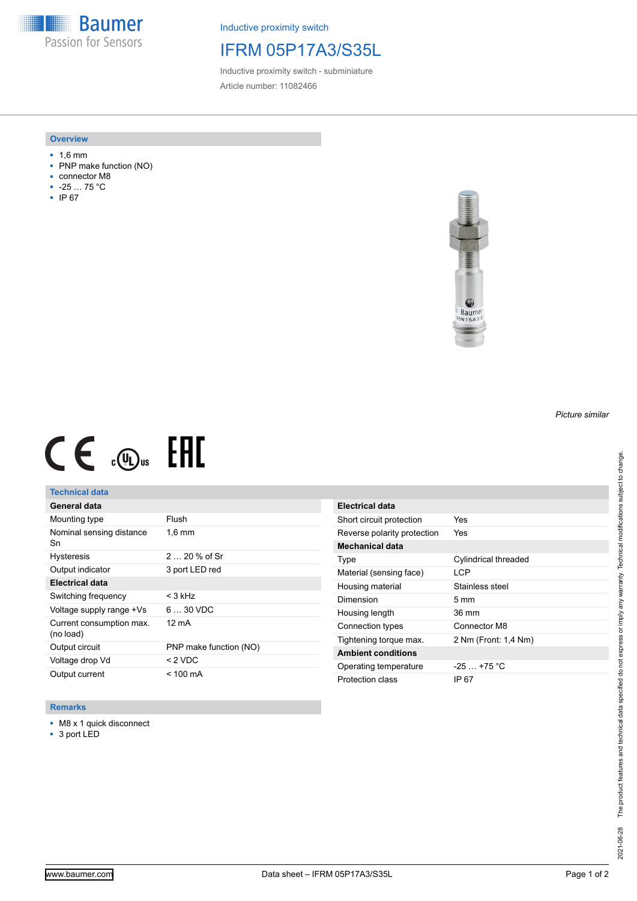**Baumer** Passion for Sensors

Inductive proximity switch

# IFRM 05P17A3/S35L

Inductive proximity switch - subminiature Article number: 11082466

### **Overview**

- 1,6 mm
- PNP make function (NO)
- connector M8
- -25 … 75 °C
- IP 67



# $CE \mathcal{L}$  (Dus FRE

### **Technical data**

| General data                          |                        |
|---------------------------------------|------------------------|
| Mounting type                         | Flush                  |
| Nominal sensing distance<br>Sn        | $1,6$ mm               |
| <b>Hysteresis</b>                     | $220%$ of Sr           |
| Output indicator                      | 3 port LED red         |
| <b>Electrical data</b>                |                        |
| Switching frequency                   | $<$ 3 kHz              |
| Voltage supply range +Vs              | $630$ VDC              |
| Current consumption max.<br>(no load) | 12 mA                  |
| Output circuit                        | PNP make function (NO) |
| Voltage drop Vd                       | < 2 VDC                |
| Output current                        | < 100 mA               |

### **Remarks**

- M8 x 1 quick disconnect
- 3 port LED

| Electrical data             |                      |
|-----------------------------|----------------------|
| Short circuit protection    | Yes                  |
| Reverse polarity protection | Yes                  |
| Mechanical data             |                      |
| Type                        | Cylindrical threaded |
| Material (sensing face)     | LCP                  |
| Housing material            | Stainless steel      |
| Dimension                   | 5 mm                 |
| Housing length              | 36 mm                |
| Connection types            | Connector M8         |
| Tightening torque max.      | 2 Nm (Front: 1,4 Nm) |
| <b>Ambient conditions</b>   |                      |
| Operating temperature       | $-25+75 °C$          |
| Protection class            | IP 67                |

# The product features and technical data specified do not express or imply any warranty. Technical modifications subject to change. 2021-06-28 The product features and technical data specified do not express or imply any warranty. Technical modifications subject to change. 2021-06-28

*Picture similar*